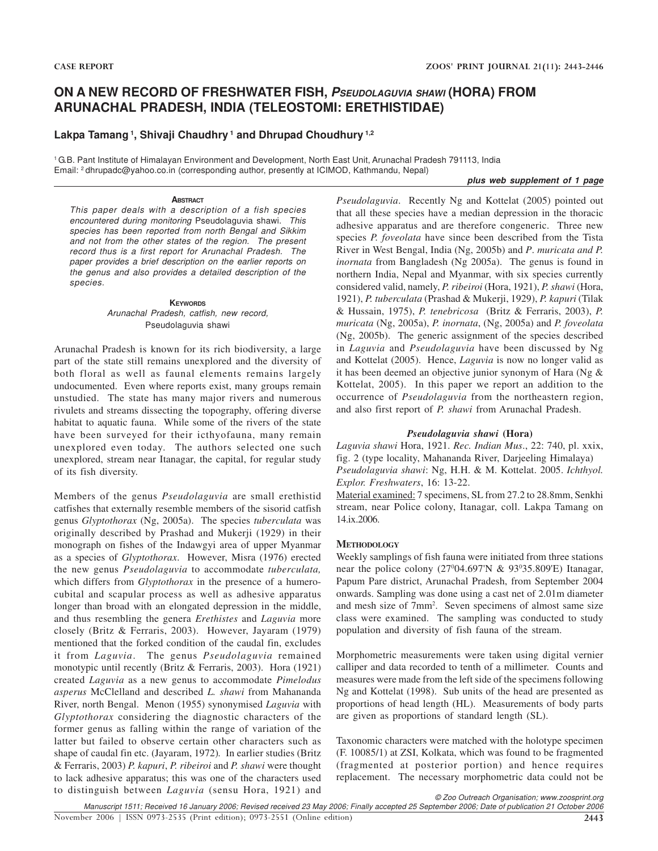# **ON A NEW RECORD OF FRESHWATER FISH, PSEUDOLAGUVIA SHAWI (HORA) FROM ARUNACHAL PRADESH, INDIA (TELEOSTOMI: ERETHISTIDAE)**

### **Lakpa Tamang<sup>1</sup>, Shivaji Chaudhry<sup>1</sup> and Dhrupad Choudhury 1,2**

<sup>1</sup>G.B. Pant Institute of Himalayan Environment and Development, North East Unit, Arunachal Pradesh 791113, India Email: <sup>2</sup>dhrupadc@yahoo.co.in (corresponding author, presently at ICIMOD, Kathmandu, Nepal)

#### **plus web supplement of 1 page**

#### **ABSTRACT**

This paper deals with a description of a fish species encountered during monitoring Pseudolaguvia shawi. This species has been reported from north Bengal and Sikkim and not from the other states of the region. The present record thus is a first report for Arunachal Pradesh. The paper provides a brief description on the earlier reports on the genus and also provides a detailed description of the species.

#### **KEYWORDS** Arunachal Pradesh, catfish, new record, Pseudolaguvia shawi

Arunachal Pradesh is known for its rich biodiversity, a large part of the state still remains unexplored and the diversity of both floral as well as faunal elements remains largely undocumented. Even where reports exist, many groups remain unstudied. The state has many major rivers and numerous rivulets and streams dissecting the topography, offering diverse habitat to aquatic fauna. While some of the rivers of the state have been surveyed for their icthyofauna, many remain unexplored even today. The authors selected one such unexplored, stream near Itanagar, the capital, for regular study of its fish diversity.

Members of the genus *Pseudolaguvia* are small erethistid catfishes that externally resemble members of the sisorid catfish genus *Glyptothorax* (Ng, 2005a). The species *tuberculata* was originally described by Prashad and Mukerji (1929) in their monograph on fishes of the Indawgyi area of upper Myanmar as a species of *Glyptothorax*. However, Misra (1976) erected the new genus *Pseudolaguvia* to accommodate *tuberculata,* which differs from *Glyptothorax* in the presence of a humerocubital and scapular process as well as adhesive apparatus longer than broad with an elongated depression in the middle, and thus resembling the genera *Erethistes* and *Laguvia* more closely (Britz & Ferraris, 2003). However, Jayaram (1979) mentioned that the forked condition of the caudal fin, excludes it from *Laguvia*. The genus *Pseudolaguvia* remained monotypic until recently (Britz & Ferraris, 2003). Hora (1921) created *Laguvia* as a new genus to accommodate *Pimelodus asperus* McClelland and described *L. shawi* from Mahananda River, north Bengal. Menon (1955) synonymised *Laguvia* with *Glyptothorax* considering the diagnostic characters of the former genus as falling within the range of variation of the latter but failed to observe certain other characters such as shape of caudal fin etc. (Jayaram, 1972)*.* In earlier studies (Britz & Ferraris, 2003) *P. kapuri*, *P. ribeiroi* and *P. shawi* were thought to lack adhesive apparatus; this was one of the characters used to distinguish between *Laguvia* (sensu Hora, 1921) and

*Pseudolaguvia*. Recently Ng and Kottelat (2005) pointed out that all these species have a median depression in the thoracic adhesive apparatus and are therefore congeneric. Three new species *P. foveolata* have since been described from the Tista River in West Bengal, India (Ng, 2005b) and *P*. *muricata and P. inornata* from Bangladesh (Ng 2005a). The genus is found in northern India, Nepal and Myanmar, with six species currently considered valid, namely, *P. ribeiroi* (Hora, 1921), *P. shawi* (Hora, 1921), *P. tuberculata* (Prashad & Mukerji, 1929), *P. kapuri* (Tilak & Hussain, 1975), *P. tenebricosa* (Britz & Ferraris, 2003), *P. muricata* (Ng, 2005a), *P. inornata*, (Ng, 2005a) and *P. foveolata* (Ng, 2005b). The generic assignment of the species described in *Laguvia* and *Pseudolaguvia* have been discussed by Ng and Kottelat (2005). Hence, *Laguvia* is now no longer valid as it has been deemed an objective junior synonym of Hara (Ng & Kottelat, 2005). In this paper we report an addition to the occurrence of *Pseudolaguvia* from the northeastern region, and also first report of *P. shawi* from Arunachal Pradesh.

### *Pseudolaguvia shawi* **(Hora)**

*Laguvia shawi* Hora, 1921. *Rec. Indian Mus*., 22: 740, pl. xxix, fig. 2 (type locality, Mahananda River, Darjeeling Himalaya) *Pseudolaguvia shawi*: Ng, H.H. & M. Kottelat. 2005. *Ichthyol. Explor. Freshwaters*, 16: 13-22.

Material examined: 7 specimens, SL from 27.2 to 28.8mm, Senkhi stream, near Police colony, Itanagar, coll. Lakpa Tamang on 14.ix.2006.

### **METHODOLOGY**

Weekly samplings of fish fauna were initiated from three stations near the police colony  $(27^004.697^1)$  &  $93^035.809^1$  Itanagar, Papum Pare district, Arunachal Pradesh, from September 2004 onwards. Sampling was done using a cast net of 2.01m diameter and mesh size of 7mm<sup>2</sup> . Seven specimens of almost same size class were examined. The sampling was conducted to study population and diversity of fish fauna of the stream.

Morphometric measurements were taken using digital vernier calliper and data recorded to tenth of a millimeter. Counts and measures were made from the left side of the specimens following Ng and Kottelat (1998). Sub units of the head are presented as proportions of head length (HL). Measurements of body parts are given as proportions of standard length (SL).

Taxonomic characters were matched with the holotype specimen (F. 10085/1) at ZSI, Kolkata, which was found to be fragmented (fragmented at posterior portion) and hence requires replacement. The necessary morphometric data could not be

© Zoo Outreach Organisation; www.zoosprint.org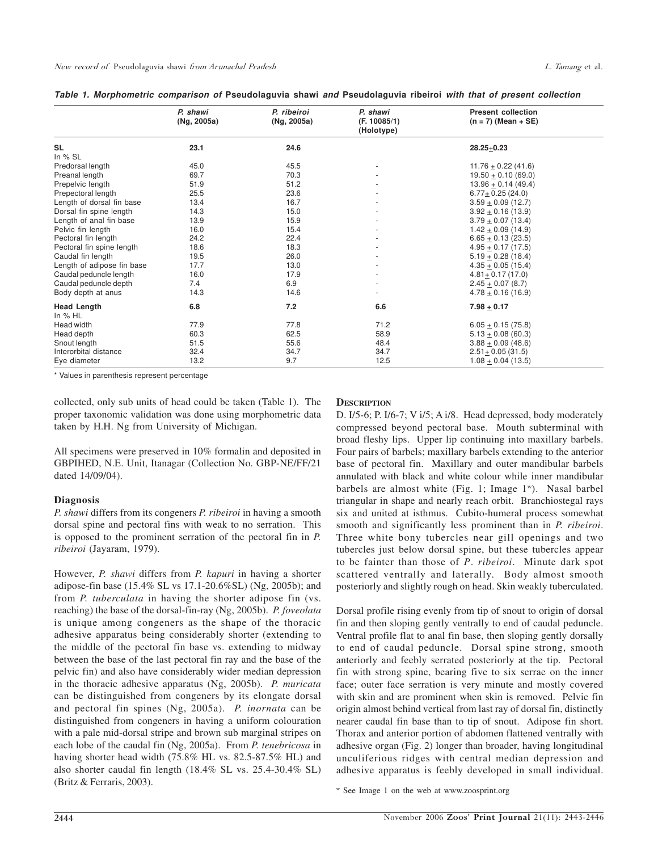|  |  |  | Table 1. Morphometric comparison of Pseudolaguvia shawi and Pseudolaguvia ribeiroi with that of present collection |  |  |  |
|--|--|--|--------------------------------------------------------------------------------------------------------------------|--|--|--|
|  |  |  |                                                                                                                    |  |  |  |
|  |  |  |                                                                                                                    |  |  |  |

|                                 | P. shawi<br>(Ng, 2005a) | P. ribeiroi<br>(Ng, 2005a) | P. shawi<br>(F. 10085/1)<br>(Holotype) | <b>Present collection</b><br>$(n = 7)$ (Mean + SE) |
|---------------------------------|-------------------------|----------------------------|----------------------------------------|----------------------------------------------------|
| <b>SL</b>                       | 23.1                    | 24.6                       |                                        | $28.25 + 0.23$                                     |
| In $%$ SL                       |                         |                            |                                        |                                                    |
| Predorsal length                | 45.0                    | 45.5                       |                                        | $11.76 + 0.22(41.6)$                               |
| Preanal length                  | 69.7                    | 70.3                       |                                        | $19.50 + 0.10(69.0)$                               |
| Prepelvic length                | 51.9                    | 51.2                       |                                        | $13.96 \pm 0.14$ (49.4)                            |
| Prepectoral length              | 25.5                    | 23.6                       |                                        | $6.77 + 0.25$ (24.0)                               |
| Length of dorsal fin base       | 13.4                    | 16.7                       |                                        | $3.59 + 0.09(12.7)$                                |
| Dorsal fin spine length         | 14.3                    | 15.0                       |                                        | $3.92 \pm 0.16$ (13.9)                             |
| Length of anal fin base         | 13.9                    | 15.9                       |                                        | $3.79 + 0.07(13.4)$                                |
| Pelvic fin length               | 16.0                    | 15.4                       |                                        | $1.42 \pm 0.09$ (14.9)                             |
| Pectoral fin length             | 24.2                    | 22.4                       |                                        | $6.65 + 0.13(23.5)$                                |
| Pectoral fin spine length       | 18.6                    | 18.3                       |                                        | $4.95 + 0.17(17.5)$                                |
| Caudal fin length               | 19.5                    | 26.0                       |                                        | $5.19 + 0.28(18.4)$                                |
| Length of adipose fin base      | 17.7                    | 13.0                       |                                        | $4.35 + 0.05(15.4)$                                |
| Caudal peduncle length          | 16.0                    | 17.9                       |                                        | $4.81 + 0.17(17.0)$                                |
| Caudal peduncle depth           | 7.4                     | 6.9                        |                                        | $2.45 + 0.07$ (8.7)                                |
| Body depth at anus              | 14.3                    | 14.6                       |                                        | $4.78 \pm 0.16$ (16.9)                             |
| <b>Head Length</b><br>In $%$ HL | 6.8                     | 7.2                        | 6.6                                    | $7.98 + 0.17$                                      |
| Head width                      | 77.9                    | 77.8                       | 71.2                                   | $6.05 + 0.15(75.8)$                                |
| Head depth                      | 60.3                    | 62.5                       | 58.9                                   | $5.13 \pm 0.08$ (60.3)                             |
| Snout length                    | 51.5                    | 55.6                       | 48.4                                   | $3.88 + 0.09(48.6)$                                |
| Interorbital distance           | 32.4                    | 34.7                       | 34.7                                   | $2.51 + 0.05(31.5)$                                |
| Eye diameter                    | 13.2                    | 9.7                        | 12.5                                   | $1.08 + 0.04$ (13.5)                               |

\* Values in parenthesis represent percentage

collected, only sub units of head could be taken (Table 1). The proper taxonomic validation was done using morphometric data taken by H.H. Ng from University of Michigan.

All specimens were preserved in 10% formalin and deposited in GBPIHED, N.E. Unit, Itanagar (Collection No. GBP-NE/FF/21 dated 14/09/04).

#### **Diagnosis**

*P. shawi* differs from its congeners *P. ribeiroi* in having a smooth dorsal spine and pectoral fins with weak to no serration. This is opposed to the prominent serration of the pectoral fin in *P. ribeiroi* (Jayaram, 1979).

However, *P. shawi* differs from *P. kapuri* in having a shorter adipose-fin base (15.4% SL vs 17.1-20.6%SL) (Ng, 2005b); and from *P. tuberculata* in having the shorter adipose fin (vs. reaching) the base of the dorsal-fin-ray (Ng, 2005b). *P. foveolata* is unique among congeners as the shape of the thoracic adhesive apparatus being considerably shorter (extending to the middle of the pectoral fin base vs. extending to midway between the base of the last pectoral fin ray and the base of the pelvic fin) and also have considerably wider median depression in the thoracic adhesive apparatus (Ng, 2005b). *P. muricata* can be distinguished from congeners by its elongate dorsal and pectoral fin spines (Ng, 2005a). *P. inornata* can be distinguished from congeners in having a uniform colouration with a pale mid-dorsal stripe and brown sub marginal stripes on each lobe of the caudal fin (Ng, 2005a). From *P. tenebricosa* in having shorter head width (75.8% HL vs. 82.5-87.5% HL) and also shorter caudal fin length (18.4% SL vs. 25.4-30.4% SL) (Britz & Ferraris, 2003).

### **DESCRIPTION**

D. I/5-6; P. I/6-7; V i/5; A i/8. Head depressed, body moderately compressed beyond pectoral base. Mouth subterminal with broad fleshy lips. Upper lip continuing into maxillary barbels. Four pairs of barbels; maxillary barbels extending to the anterior base of pectoral fin. Maxillary and outer mandibular barbels annulated with black and white colour while inner mandibular barbels are almost white (Fig. 1; Image 1<sup>w</sup>). Nasal barbel triangular in shape and nearly reach orbit. Branchiostegal rays six and united at isthmus. Cubito-humeral process somewhat smooth and significantly less prominent than in *P. ribeiroi*. Three white bony tubercles near gill openings and two tubercles just below dorsal spine, but these tubercles appear to be fainter than those of *P*. *ribeiroi*. Minute dark spot scattered ventrally and laterally. Body almost smooth posteriorly and slightly rough on head. Skin weakly tuberculated.

Dorsal profile rising evenly from tip of snout to origin of dorsal fin and then sloping gently ventrally to end of caudal peduncle. Ventral profile flat to anal fin base, then sloping gently dorsally to end of caudal peduncle. Dorsal spine strong, smooth anteriorly and feebly serrated posteriorly at the tip. Pectoral fin with strong spine, bearing five to six serrae on the inner face; outer face serration is very minute and mostly covered with skin and are prominent when skin is removed. Pelvic fin origin almost behind vertical from last ray of dorsal fin, distinctly nearer caudal fin base than to tip of snout. Adipose fin short. Thorax and anterior portion of abdomen flattened ventrally with adhesive organ (Fig. 2) longer than broader, having longitudinal unculiferious ridges with central median depression and adhesive apparatus is feebly developed in small individual.

w See Image 1 on the web at www.zoosprint.org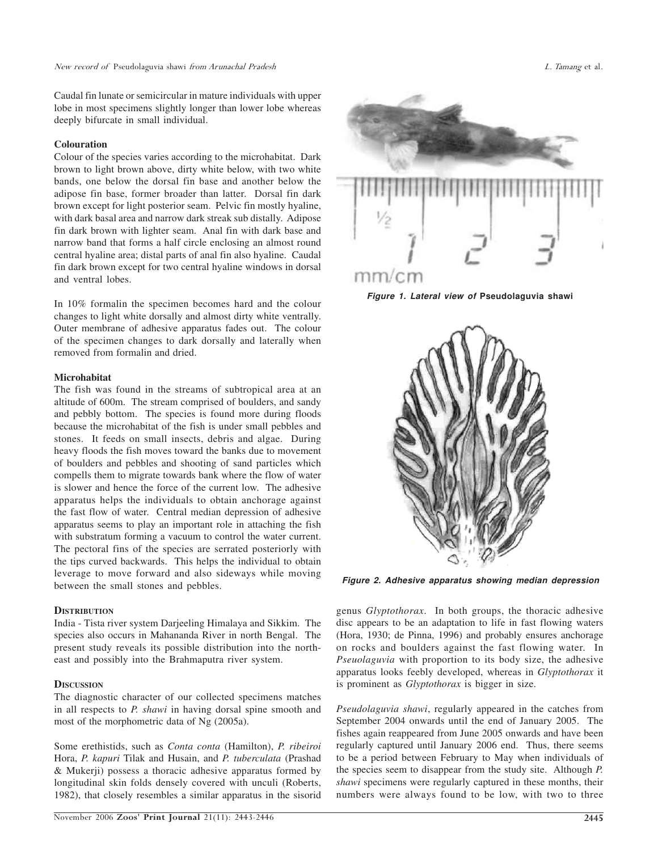Caudal fin lunate or semicircular in mature individuals with upper lobe in most specimens slightly longer than lower lobe whereas deeply bifurcate in small individual.

#### **Colouration**

Colour of the species varies according to the microhabitat. Dark brown to light brown above, dirty white below, with two white bands, one below the dorsal fin base and another below the adipose fin base, former broader than latter. Dorsal fin dark brown except for light posterior seam. Pelvic fin mostly hyaline, with dark basal area and narrow dark streak sub distally. Adipose fin dark brown with lighter seam. Anal fin with dark base and narrow band that forms a half circle enclosing an almost round central hyaline area; distal parts of anal fin also hyaline. Caudal fin dark brown except for two central hyaline windows in dorsal and ventral lobes.

In 10% formalin the specimen becomes hard and the colour changes to light white dorsally and almost dirty white ventrally. Outer membrane of adhesive apparatus fades out. The colour of the specimen changes to dark dorsally and laterally when removed from formalin and dried.

#### **Microhabitat**

The fish was found in the streams of subtropical area at an altitude of 600m. The stream comprised of boulders, and sandy and pebbly bottom. The species is found more during floods because the microhabitat of the fish is under small pebbles and stones. It feeds on small insects, debris and algae. During heavy floods the fish moves toward the banks due to movement of boulders and pebbles and shooting of sand particles which compells them to migrate towards bank where the flow of water is slower and hence the force of the current low. The adhesive apparatus helps the individuals to obtain anchorage against the fast flow of water. Central median depression of adhesive apparatus seems to play an important role in attaching the fish with substratum forming a vacuum to control the water current. The pectoral fins of the species are serrated posteriorly with the tips curved backwards. This helps the individual to obtain leverage to move forward and also sideways while moving between the small stones and pebbles.

#### **DISTRIBUTION**

India - Tista river system Darjeeling Himalaya and Sikkim. The species also occurs in Mahananda River in north Bengal. The present study reveals its possible distribution into the northeast and possibly into the Brahmaputra river system.

### **DISCUSSION**

The diagnostic character of our collected specimens matches in all respects to *P. shawi* in having dorsal spine smooth and most of the morphometric data of Ng (2005a).

Some erethistids, such as *Conta conta* (Hamilton), *P. ribeiroi* Hora, *P. kapuri* Tilak and Husain, and *P. tuberculata* (Prashad & Mukerji) possess a thoracic adhesive apparatus formed by longitudinal skin folds densely covered with unculi (Roberts, 1982), that closely resembles a similar apparatus in the sisorid



**Figure 1. Lateral view of Pseudolaguvia shawi**



**Figure 2. Adhesive apparatus showing median depression**

genus *Glyptothorax*. In both groups, the thoracic adhesive disc appears to be an adaptation to life in fast flowing waters (Hora, 1930; de Pinna, 1996) and probably ensures anchorage on rocks and boulders against the fast flowing water. In *Pseuolaguvia* with proportion to its body size, the adhesive apparatus looks feebly developed, whereas in *Glyptothorax* it is prominent as *Glyptothorax* is bigger in size.

*Pseudolaguvia shawi*, regularly appeared in the catches from September 2004 onwards until the end of January 2005. The fishes again reappeared from June 2005 onwards and have been regularly captured until January 2006 end. Thus, there seems to be a period between February to May when individuals of the species seem to disappear from the study site. Although *P. shawi* specimens were regularly captured in these months, their numbers were always found to be low, with two to three